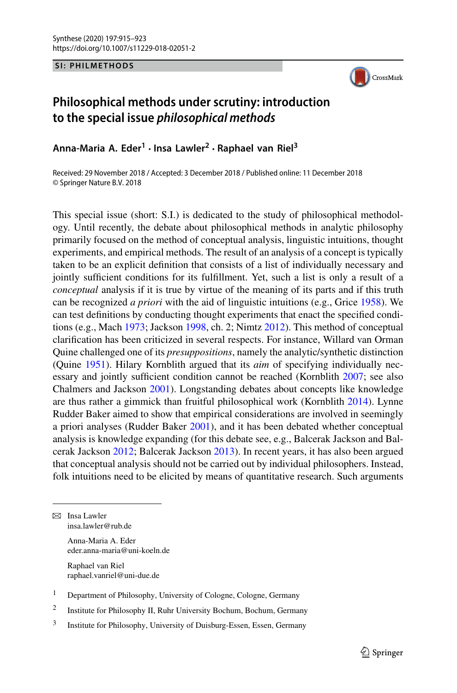**SI: PHILMETHODS**



## **Philosophical methods under scrutiny: introduction to the special issue** *philosophical methods*

**Anna-Maria A. Eder<sup>1</sup> · Insa Lawler<sup>2</sup> · Raphael van Riel<sup>3</sup>**

Received: 29 November 2018 / Accepted: 3 December 2018 / Published online: 11 December 2018 © Springer Nature B.V. 2018

This special issue (short: S.I.) is dedicated to the study of philosophical methodology. Until recently, the debate about philosophical methods in analytic philosophy primarily focused on the method of conceptual analysis, linguistic intuitions, thought experiments, and empirical methods. The result of an analysis of a concept is typically taken to be an explicit definition that consists of a list of individually necessary and jointly sufficient conditions for its fulfillment. Yet, such a list is only a result of a *conceptual* analysis if it is true by virtue of the meaning of its parts and if this truth can be recognized *a priori* with the aid of linguistic intuitions (e.g., Grice [1958\)](#page-7-0). We can test definitions by conducting thought experiments that enact the specified conditions (e.g., Mach [1973;](#page-7-1) Jackson [1998,](#page-7-2) ch. 2; Nimtz [2012\)](#page-7-3). This method of conceptual clarification has been criticized in several respects. For instance, Willard van Orman Quine challenged one of its *presuppositions*, namely the analytic/synthetic distinction (Quine [1951\)](#page-7-4). Hilary Kornblith argued that its *aim* of specifying individually necessary and jointly sufficient condition cannot be reached (Kornblith [2007;](#page-7-5) see also Chalmers and Jackson [2001\)](#page-7-6). Longstanding debates about concepts like knowledge are thus rather a gimmick than fruitful philosophical work (Kornblith [2014\)](#page-7-7). Lynne Rudder Baker aimed to show that empirical considerations are involved in seemingly a priori analyses (Rudder Baker [2001\)](#page-7-8), and it has been debated whether conceptual analysis is knowledge expanding (for this debate see, e.g., Balcerak Jackson and Balcerak Jackson [2012;](#page-6-0) Balcerak Jackson [2013\)](#page-6-1). In recent years, it has also been argued that conceptual analysis should not be carried out by individual philosophers. Instead, folk intuitions need to be elicited by means of quantitative research. Such arguments

 $\boxtimes$  Insa Lawler insa.lawler@rub.de

> Anna-Maria A. Eder eder.anna-maria@uni-koeln.de

Raphael van Riel raphael.vanriel@uni-due.de

<sup>1</sup> Department of Philosophy, University of Cologne, Cologne, Germany

<sup>2</sup> Institute for Philosophy II, Ruhr University Bochum, Bochum, Germany

<sup>3</sup> Institute for Philosophy, University of Duisburg-Essen, Essen, Germany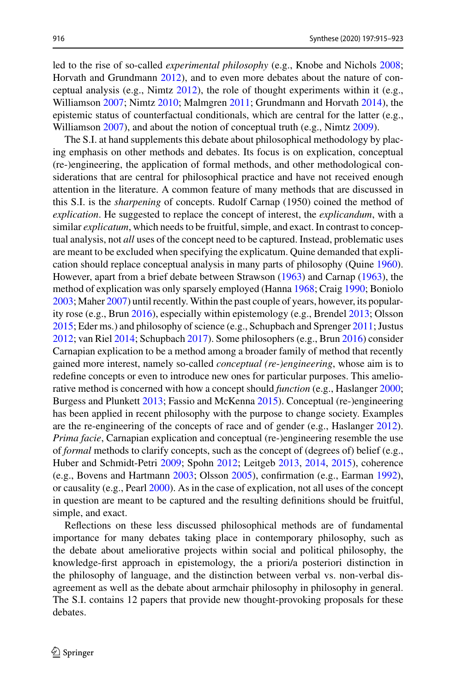led to the rise of so-called *experimental philosophy* (e.g., Knobe and Nichols [2008;](#page-7-9) Horvath and Grundmann [2012\)](#page-7-10), and to even more debates about the nature of conceptual analysis (e.g., Nimtz [2012\)](#page-7-3), the role of thought experiments within it (e.g., Williamson [2007;](#page-8-0) Nimtz [2010;](#page-7-11) Malmgren [2011;](#page-7-12) Grundmann and Horvath [2014\)](#page-7-13), the epistemic status of counterfactual conditionals, which are central for the latter (e.g., Williamson [2007\)](#page-8-0), and about the notion of conceptual truth (e.g., Nimtz [2009\)](#page-7-14).

The S.I. at hand supplements this debate about philosophical methodology by placing emphasis on other methods and debates. Its focus is on explication, conceptual (re-)engineering, the application of formal methods, and other methodological considerations that are central for philosophical practice and have not received enough attention in the literature. A common feature of many methods that are discussed in this S.I. is the *sharpening* of concepts. Rudolf Carnap (1950) coined the method of *explication*. He suggested to replace the concept of interest, the *explicandum*, with a similar *explicatum*, which needs to be fruitful, simple, and exact. In contrast to conceptual analysis, not *all* uses of the concept need to be captured. Instead, problematic uses are meant to be excluded when specifying the explicatum. Quine demanded that explication should replace conceptual analysis in many parts of philosophy (Quine [1960\)](#page-7-15). However, apart from a brief debate between Strawson [\(1963\)](#page-8-1) and Carnap [\(1963\)](#page-6-2), the method of explication was only sparsely employed (Hanna [1968;](#page-7-16) Craig [1990;](#page-7-17) Boniolo [2003;](#page-6-3) Maher [2007\)](#page-7-18) until recently. Within the past couple of years, however, its popularity rose (e.g., Brun [2016\)](#page-6-4), especially within epistemology (e.g., Brendel [2013;](#page-6-5) Olsson [2015;](#page-7-19) Eder ms.) and philosophy of science (e.g., Schupbach and Sprenger [2011;](#page-7-20) Justus [2012;](#page-7-21) van Riel [2014;](#page-8-2) Schupbach [2017\)](#page-7-22). Some philosophers (e.g., Brun [2016\)](#page-6-4) consider Carnapian explication to be a method among a broader family of method that recently gained more interest, namely so-called *conceptual (re*-*)engineering*, whose aim is to redefine concepts or even to introduce new ones for particular purposes. This ameliorative method is concerned with how a concept should *function* (e.g., Haslanger [2000;](#page-7-23) Burgess and Plunkett [2013;](#page-6-6) Fassio and McKenna [2015\)](#page-7-24). Conceptual (re-)engineering has been applied in recent philosophy with the purpose to change society. Examples are the re-engineering of the concepts of race and of gender (e.g., Haslanger [2012\)](#page-7-25). *Prima facie*, Carnapian explication and conceptual (re-)engineering resemble the use of *formal* methods to clarify concepts, such as the concept of (degrees of) belief (e.g., Huber and Schmidt-Petri [2009;](#page-7-26) Spohn [2012;](#page-7-27) Leitgeb [2013,](#page-7-28) [2014,](#page-7-29) [2015\)](#page-7-30), coherence (e.g., Bovens and Hartmann [2003;](#page-6-7) Olsson [2005\)](#page-7-31), confirmation (e.g., Earman [1992\)](#page-7-32), or causality (e.g., Pearl [2000\)](#page-7-33). As in the case of explication, not all uses of the concept in question are meant to be captured and the resulting definitions should be fruitful, simple, and exact.

Reflections on these less discussed philosophical methods are of fundamental importance for many debates taking place in contemporary philosophy, such as the debate about ameliorative projects within social and political philosophy, the knowledge-first approach in epistemology, the a priori/a posteriori distinction in the philosophy of language, and the distinction between verbal vs. non-verbal disagreement as well as the debate about armchair philosophy in philosophy in general. The S.I. contains 12 papers that provide new thought-provoking proposals for these debates.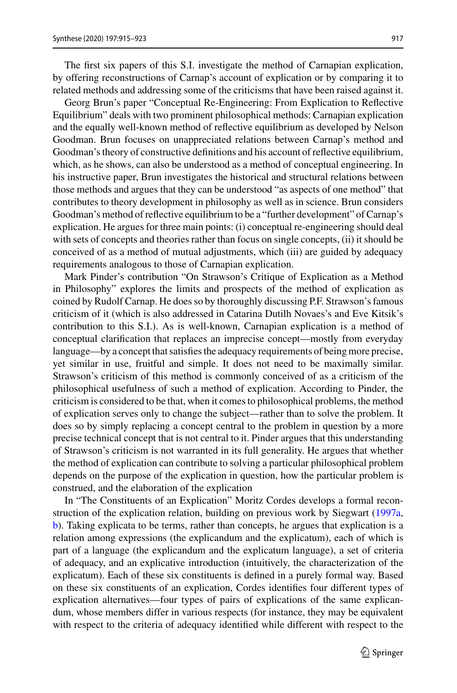The first six papers of this S.I. investigate the method of Carnapian explication, by offering reconstructions of Carnap's account of explication or by comparing it to related methods and addressing some of the criticisms that have been raised against it.

Georg Brun's paper "Conceptual Re-Engineering: From Explication to Reflective Equilibrium" deals with two prominent philosophical methods: Carnapian explication and the equally well-known method of reflective equilibrium as developed by Nelson Goodman. Brun focuses on unappreciated relations between Carnap's method and Goodman's theory of constructive definitions and his account of reflective equilibrium, which, as he shows, can also be understood as a method of conceptual engineering. In his instructive paper, Brun investigates the historical and structural relations between those methods and argues that they can be understood "as aspects of one method" that contributes to theory development in philosophy as well as in science. Brun considers Goodman's method of reflective equilibrium to be a "further development" of Carnap's explication. He argues for three main points: (i) conceptual re-engineering should deal with sets of concepts and theories rather than focus on single concepts, (ii) it should be conceived of as a method of mutual adjustments, which (iii) are guided by adequacy requirements analogous to those of Carnapian explication.

Mark Pinder's contribution "On Strawson's Critique of Explication as a Method in Philosophy" explores the limits and prospects of the method of explication as coined by Rudolf Carnap. He does so by thoroughly discussing P.F. Strawson's famous criticism of it (which is also addressed in Catarina Dutilh Novaes's and Eve Kitsik's contribution to this S.I.). As is well-known, Carnapian explication is a method of conceptual clarification that replaces an imprecise concept—mostly from everyday language—by a concept that satisfies the adequacy requirements of being more precise, yet similar in use, fruitful and simple. It does not need to be maximally similar. Strawson's criticism of this method is commonly conceived of as a criticism of the philosophical usefulness of such a method of explication. According to Pinder, the criticism is considered to be that, when it comes to philosophical problems, the method of explication serves only to change the subject—rather than to solve the problem. It does so by simply replacing a concept central to the problem in question by a more precise technical concept that is not central to it. Pinder argues that this understanding of Strawson's criticism is not warranted in its full generality. He argues that whether the method of explication can contribute to solving a particular philosophical problem depends on the purpose of the explication in question, how the particular problem is construed, and the elaboration of the explication

In "The Constituents of an Explication" Moritz Cordes develops a formal reconstruction of the explication relation, building on previous work by Siegwart [\(1997a,](#page-7-34) [b\)](#page-7-35). Taking explicata to be terms, rather than concepts, he argues that explication is a relation among expressions (the explicandum and the explicatum), each of which is part of a language (the explicandum and the explicatum language), a set of criteria of adequacy, and an explicative introduction (intuitively, the characterization of the explicatum). Each of these six constituents is defined in a purely formal way. Based on these six constituents of an explication, Cordes identifies four different types of explication alternatives—four types of pairs of explications of the same explicandum, whose members differ in various respects (for instance, they may be equivalent with respect to the criteria of adequacy identified while different with respect to the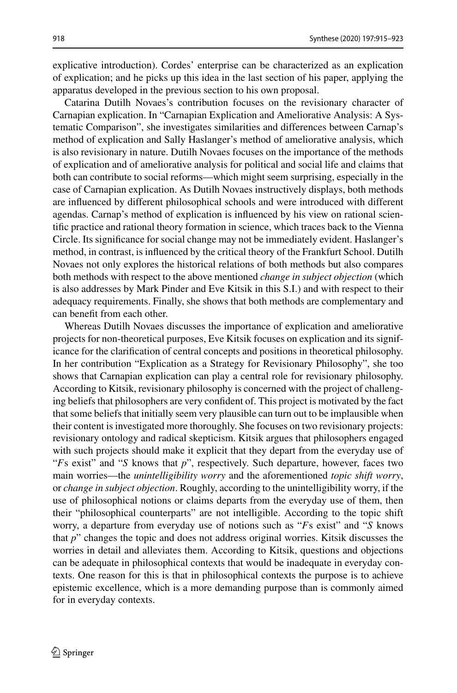explicative introduction). Cordes' enterprise can be characterized as an explication of explication; and he picks up this idea in the last section of his paper, applying the apparatus developed in the previous section to his own proposal.

Catarina Dutilh Novaes's contribution focuses on the revisionary character of Carnapian explication. In "Carnapian Explication and Ameliorative Analysis: A Systematic Comparison", she investigates similarities and differences between Carnap's method of explication and Sally Haslanger's method of ameliorative analysis, which is also revisionary in nature. Dutilh Novaes focuses on the importance of the methods of explication and of ameliorative analysis for political and social life and claims that both can contribute to social reforms—which might seem surprising, especially in the case of Carnapian explication. As Dutilh Novaes instructively displays, both methods are influenced by different philosophical schools and were introduced with different agendas. Carnap's method of explication is influenced by his view on rational scientific practice and rational theory formation in science, which traces back to the Vienna Circle. Its significance for social change may not be immediately evident. Haslanger's method, in contrast, is influenced by the critical theory of the Frankfurt School. Dutilh Novaes not only explores the historical relations of both methods but also compares both methods with respect to the above mentioned *change in subject objection* (which is also addresses by Mark Pinder and Eve Kitsik in this S.I.) and with respect to their adequacy requirements. Finally, she shows that both methods are complementary and can benefit from each other.

Whereas Dutilh Novaes discusses the importance of explication and ameliorative projects for non-theoretical purposes, Eve Kitsik focuses on explication and its significance for the clarification of central concepts and positions in theoretical philosophy. In her contribution "Explication as a Strategy for Revisionary Philosophy", she too shows that Carnapian explication can play a central role for revisionary philosophy. According to Kitsik, revisionary philosophy is concerned with the project of challenging beliefs that philosophers are very confident of. This project is motivated by the fact that some beliefs that initially seem very plausible can turn out to be implausible when their content is investigated more thoroughly. She focuses on two revisionary projects: revisionary ontology and radical skepticism. Kitsik argues that philosophers engaged with such projects should make it explicit that they depart from the everyday use of "*F*s exist" and "*S* knows that *p*", respectively. Such departure, however, faces two main worries—the *unintelligibility worry* and the aforementioned *topic shift worry*, or *change in subject objection*. Roughly, according to the unintelligibility worry, if the use of philosophical notions or claims departs from the everyday use of them, then their "philosophical counterparts" are not intelligible. According to the topic shift worry, a departure from everyday use of notions such as "*F*s exist" and "*S* knows that *p*" changes the topic and does not address original worries. Kitsik discusses the worries in detail and alleviates them. According to Kitsik, questions and objections can be adequate in philosophical contexts that would be inadequate in everyday contexts. One reason for this is that in philosophical contexts the purpose is to achieve epistemic excellence, which is a more demanding purpose than is commonly aimed for in everyday contexts.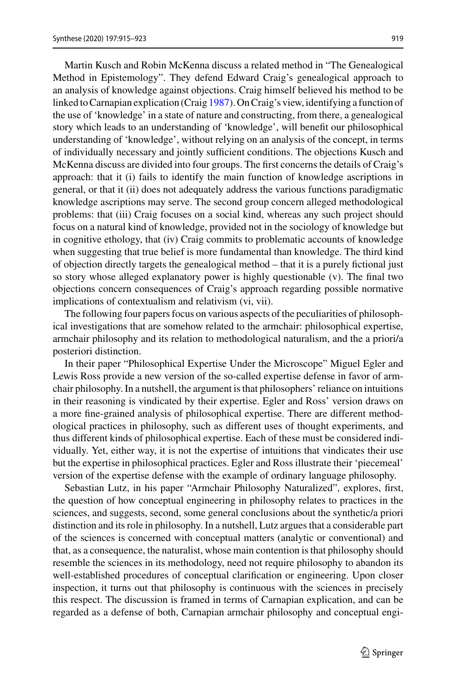Martin Kusch and Robin McKenna discuss a related method in "The Genealogical Method in Epistemology". They defend Edward Craig's genealogical approach to an analysis of knowledge against objections. Craig himself believed his method to be linked to Carnapian explication (Craig [1987\)](#page-7-36). On Craig's view, identifying a function of the use of 'knowledge' in a state of nature and constructing, from there, a genealogical story which leads to an understanding of 'knowledge', will benefit our philosophical understanding of 'knowledge', without relying on an analysis of the concept, in terms of individually necessary and jointly sufficient conditions. The objections Kusch and McKenna discuss are divided into four groups. The first concerns the details of Craig's approach: that it (i) fails to identify the main function of knowledge ascriptions in general, or that it (ii) does not adequately address the various functions paradigmatic knowledge ascriptions may serve. The second group concern alleged methodological problems: that (iii) Craig focuses on a social kind, whereas any such project should focus on a natural kind of knowledge, provided not in the sociology of knowledge but in cognitive ethology, that (iv) Craig commits to problematic accounts of knowledge when suggesting that true belief is more fundamental than knowledge. The third kind of objection directly targets the genealogical method – that it is a purely fictional just so story whose alleged explanatory power is highly questionable (v). The final two objections concern consequences of Craig's approach regarding possible normative implications of contextualism and relativism (vi, vii).

The following four papers focus on various aspects of the peculiarities of philosophical investigations that are somehow related to the armchair: philosophical expertise, armchair philosophy and its relation to methodological naturalism, and the a priori/a posteriori distinction.

In their paper "Philosophical Expertise Under the Microscope" Miguel Egler and Lewis Ross provide a new version of the so-called expertise defense in favor of armchair philosophy. In a nutshell, the argument is that philosophers' reliance on intuitions in their reasoning is vindicated by their expertise. Egler and Ross' version draws on a more fine-grained analysis of philosophical expertise. There are different methodological practices in philosophy, such as different uses of thought experiments, and thus different kinds of philosophical expertise. Each of these must be considered individually. Yet, either way, it is not the expertise of intuitions that vindicates their use but the expertise in philosophical practices. Egler and Ross illustrate their 'piecemeal' version of the expertise defense with the example of ordinary language philosophy.

Sebastian Lutz, in his paper "Armchair Philosophy Naturalized", explores, first, the question of how conceptual engineering in philosophy relates to practices in the sciences, and suggests, second, some general conclusions about the synthetic/a priori distinction and its role in philosophy. In a nutshell, Lutz argues that a considerable part of the sciences is concerned with conceptual matters (analytic or conventional) and that, as a consequence, the naturalist, whose main contention is that philosophy should resemble the sciences in its methodology, need not require philosophy to abandon its well-established procedures of conceptual clarification or engineering. Upon closer inspection, it turns out that philosophy is continuous with the sciences in precisely this respect. The discussion is framed in terms of Carnapian explication, and can be regarded as a defense of both, Carnapian armchair philosophy and conceptual engi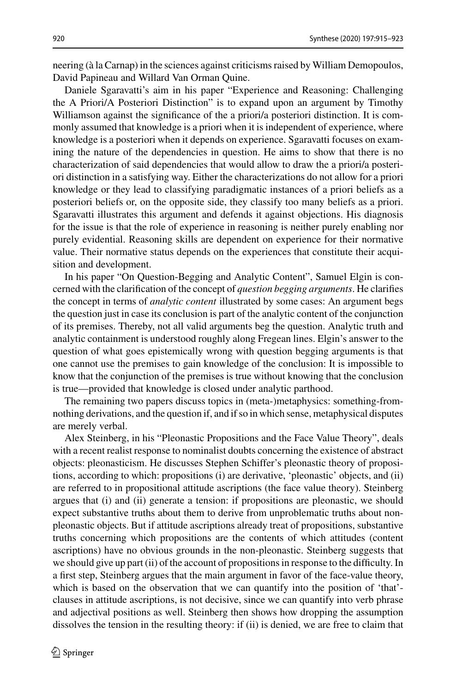neering (à la Carnap) in the sciences against criticisms raised by William Demopoulos, David Papineau and Willard Van Orman Quine.

Daniele Sgaravatti's aim in his paper "Experience and Reasoning: Challenging the A Priori/A Posteriori Distinction" is to expand upon an argument by Timothy Williamson against the significance of the a priori/a posteriori distinction. It is commonly assumed that knowledge is a priori when it is independent of experience, where knowledge is a posteriori when it depends on experience. Sgaravatti focuses on examining the nature of the dependencies in question. He aims to show that there is no characterization of said dependencies that would allow to draw the a priori/a posteriori distinction in a satisfying way. Either the characterizations do not allow for a priori knowledge or they lead to classifying paradigmatic instances of a priori beliefs as a posteriori beliefs or, on the opposite side, they classify too many beliefs as a priori. Sgaravatti illustrates this argument and defends it against objections. His diagnosis for the issue is that the role of experience in reasoning is neither purely enabling nor purely evidential. Reasoning skills are dependent on experience for their normative value. Their normative status depends on the experiences that constitute their acquisition and development.

In his paper "On Question-Begging and Analytic Content", Samuel Elgin is concerned with the clarification of the concept of *question begging arguments*. He clarifies the concept in terms of *analytic content* illustrated by some cases: An argument begs the question just in case its conclusion is part of the analytic content of the conjunction of its premises. Thereby, not all valid arguments beg the question. Analytic truth and analytic containment is understood roughly along Fregean lines. Elgin's answer to the question of what goes epistemically wrong with question begging arguments is that one cannot use the premises to gain knowledge of the conclusion: It is impossible to know that the conjunction of the premises is true without knowing that the conclusion is true—provided that knowledge is closed under analytic parthood.

The remaining two papers discuss topics in (meta-)metaphysics: something-fromnothing derivations, and the question if, and if so in which sense, metaphysical disputes are merely verbal.

Alex Steinberg, in his "Pleonastic Propositions and the Face Value Theory", deals with a recent realist response to nominalist doubts concerning the existence of abstract objects: pleonasticism. He discusses Stephen Schiffer's pleonastic theory of propositions, according to which: propositions (i) are derivative, 'pleonastic' objects, and (ii) are referred to in propositional attitude ascriptions (the face value theory). Steinberg argues that (i) and (ii) generate a tension: if propositions are pleonastic, we should expect substantive truths about them to derive from unproblematic truths about nonpleonastic objects. But if attitude ascriptions already treat of propositions, substantive truths concerning which propositions are the contents of which attitudes (content ascriptions) have no obvious grounds in the non-pleonastic. Steinberg suggests that we should give up part (ii) of the account of propositions in response to the difficulty. In a first step, Steinberg argues that the main argument in favor of the face-value theory, which is based on the observation that we can quantify into the position of 'that' clauses in attitude ascriptions, is not decisive, since we can quantify into verb phrase and adjectival positions as well. Steinberg then shows how dropping the assumption dissolves the tension in the resulting theory: if (ii) is denied, we are free to claim that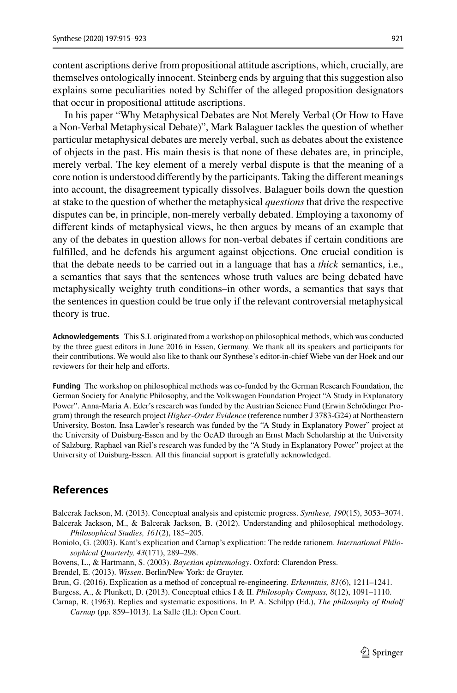content ascriptions derive from propositional attitude ascriptions, which, crucially, are themselves ontologically innocent. Steinberg ends by arguing that this suggestion also explains some peculiarities noted by Schiffer of the alleged proposition designators that occur in propositional attitude ascriptions.

In his paper "Why Metaphysical Debates are Not Merely Verbal (Or How to Have a Non-Verbal Metaphysical Debate)", Mark Balaguer tackles the question of whether particular metaphysical debates are merely verbal, such as debates about the existence of objects in the past. His main thesis is that none of these debates are, in principle, merely verbal. The key element of a merely verbal dispute is that the meaning of a core notion is understood differently by the participants. Taking the different meanings into account, the disagreement typically dissolves. Balaguer boils down the question at stake to the question of whether the metaphysical *questions* that drive the respective disputes can be, in principle, non-merely verbally debated. Employing a taxonomy of different kinds of metaphysical views, he then argues by means of an example that any of the debates in question allows for non-verbal debates if certain conditions are fulfilled, and he defends his argument against objections. One crucial condition is that the debate needs to be carried out in a language that has a *thick* semantics, i.e., a semantics that says that the sentences whose truth values are being debated have metaphysically weighty truth conditions–in other words, a semantics that says that the sentences in question could be true only if the relevant controversial metaphysical theory is true.

**Acknowledgements** This S.I. originated from a workshop on philosophical methods, which was conducted by the three guest editors in June 2016 in Essen, Germany. We thank all its speakers and participants for their contributions. We would also like to thank our Synthese's editor-in-chief Wiebe van der Hoek and our reviewers for their help and efforts.

**Funding** The workshop on philosophical methods was co-funded by the German Research Foundation, the German Society for Analytic Philosophy, and the Volkswagen Foundation Project "A Study in Explanatory Power". Anna-Maria A. Eder's research was funded by the Austrian Science Fund (Erwin Schrödinger Program) through the research project *Higher*-*Order Evidence* (reference number J 3783-G24) at Northeastern University, Boston. Insa Lawler's research was funded by the "A Study in Explanatory Power" project at the University of Duisburg-Essen and by the OeAD through an Ernst Mach Scholarship at the University of Salzburg. Raphael van Riel's research was funded by the "A Study in Explanatory Power" project at the University of Duisburg-Essen. All this financial support is gratefully acknowledged.

## **References**

<span id="page-6-1"></span><span id="page-6-0"></span>Balcerak Jackson, M. (2013). Conceptual analysis and epistemic progress. *Synthese, 190*(15), 3053–3074. Balcerak Jackson, M., & Balcerak Jackson, B. (2012). Understanding and philosophical methodology.

*Philosophical Studies, 161*(2), 185–205.

- <span id="page-6-3"></span>Boniolo, G. (2003). Kant's explication and Carnap's explication: The redde rationem. *International Philosophical Quarterly, 43*(171), 289–298.
- <span id="page-6-7"></span>Bovens, L., & Hartmann, S. (2003). *Bayesian epistemology*. Oxford: Clarendon Press.
- <span id="page-6-5"></span>Brendel, E. (2013). *Wissen*. Berlin/New York: de Gruyter.

<span id="page-6-4"></span>Brun, G. (2016). Explication as a method of conceptual re-engineering. *Erkenntnis, 81*(6), 1211–1241.

<span id="page-6-6"></span>Burgess, A., & Plunkett, D. (2013). Conceptual ethics I & II. *Philosophy Compass, 8*(12), 1091–1110.

<span id="page-6-2"></span>Carnap, R. (1963). Replies and systematic expositions. In P. A. Schilpp (Ed.), *The philosophy of Rudolf Carnap* (pp. 859–1013). La Salle (IL): Open Court.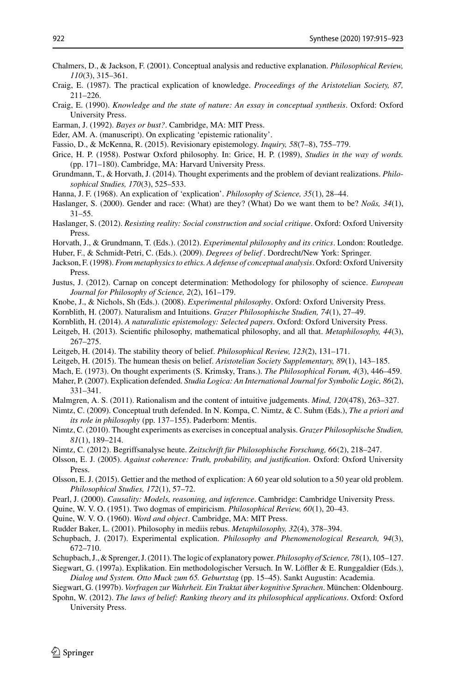- <span id="page-7-6"></span>Chalmers, D., & Jackson, F. (2001). Conceptual analysis and reductive explanation. *Philosophical Review, 110*(3), 315–361.
- <span id="page-7-36"></span>Craig, E. (1987). The practical explication of knowledge. *Proceedings of the Aristotelian Society, 87,* 211–226.
- <span id="page-7-17"></span>Craig, E. (1990). *Knowledge and the state of nature: An essay in conceptual synthesis*. Oxford: Oxford University Press.
- <span id="page-7-32"></span>Earman, J. (1992). *Bayes or bust?*. Cambridge, MA: MIT Press.
- Eder, AM. A. (manuscript). On explicating 'epistemic rationality'.
- <span id="page-7-24"></span>Fassio, D., & McKenna, R. (2015). Revisionary epistemology. *Inquiry, 58*(7–8), 755–779.
- <span id="page-7-0"></span>Grice, H. P. (1958). Postwar Oxford philosophy. In: Grice, H. P. (1989), *Studies in the way of words.* (pp. 171–180). Cambridge, MA: Harvard University Press.
- <span id="page-7-13"></span>Grundmann, T., & Horvath, J. (2014). Thought experiments and the problem of deviant realizations. *Philosophical Studies, 170*(3), 525–533.
- <span id="page-7-16"></span>Hanna, J. F. (1968). An explication of 'explication'. *Philosophy of Science, 35*(1), 28–44.
- <span id="page-7-23"></span>Haslanger, S. (2000). Gender and race: (What) are they? (What) Do we want them to be? *Noûs, 34*(1), 31–55.
- <span id="page-7-25"></span>Haslanger, S. (2012). *Resisting reality: Social construction and social critique*. Oxford: Oxford University Press.
- <span id="page-7-10"></span>Horvath, J., & Grundmann, T. (Eds.). (2012). *Experimental philosophy and its critics*. London: Routledge.
- <span id="page-7-26"></span>Huber, F., & Schmidt-Petri, C. (Eds.). (2009). *Degrees of belief* . Dordrecht/New York: Springer.
- <span id="page-7-2"></span>Jackson, F. (1998). *From metaphysics to ethics. A defense of conceptual analysis*. Oxford: Oxford University Press.
- <span id="page-7-21"></span>Justus, J. (2012). Carnap on concept determination: Methodology for philosophy of science. *European Journal for Philosophy of Science, 2*(2), 161–179.
- <span id="page-7-9"></span>Knobe, J., & Nichols, Sh (Eds.). (2008). *Experimental philosophy*. Oxford: Oxford University Press.
- <span id="page-7-5"></span>Kornblith, H. (2007). Naturalism and Intuitions. *Grazer Philosophische Studien, 74*(1), 27–49.
- <span id="page-7-7"></span>Kornblith, H. (2014). *A naturalistic epistemology: Selected papers*. Oxford: Oxford University Press.
- <span id="page-7-28"></span>Leitgeb, H. (2013). Scientific philosophy, mathematical philosophy, and all that. *Metaphilosophy, 44*(3), 267–275.
- <span id="page-7-29"></span>Leitgeb, H. (2014). The stability theory of belief. *Philosophical Review, 123*(2), 131–171.
- <span id="page-7-30"></span>Leitgeb, H. (2015). The humean thesis on belief. *Aristotelian Society Supplementary, 89*(1), 143–185.
- <span id="page-7-1"></span>Mach, E. (1973). On thought experiments (S. Krimsky, Trans.). *The Philosophical Forum, 4*(3), 446–459.
- <span id="page-7-18"></span>Maher, P. (2007). Explication defended. *Studia Logica: An International Journal for Symbolic Logic, 86*(2), 331–341.
- <span id="page-7-12"></span>Malmgren, A. S. (2011). Rationalism and the content of intuitive judgements. *Mind, 120*(478), 263–327.
- <span id="page-7-14"></span>Nimtz, C. (2009). Conceptual truth defended. In N. Kompa, C. Nimtz, & C. Suhm (Eds.), *The a priori and its role in philosophy* (pp. 137–155). Paderborn: Mentis.
- <span id="page-7-11"></span>Nimtz, C. (2010). Thought experiments as exercises in conceptual analysis. *Grazer Philosophische Studien, 81*(1), 189–214.
- <span id="page-7-3"></span>Nimtz, C. (2012). Begriffsanalyse heute. *Zeitschrift für Philosophische Forschung, 66*(2), 218–247.
- <span id="page-7-31"></span>Olsson, E. J. (2005). *Against coherence: Truth, probability, and justification*. Oxford: Oxford University Press.
- <span id="page-7-19"></span>Olsson, E. J. (2015). Gettier and the method of explication: A 60 year old solution to a 50 year old problem. *Philosophical Studies, 172*(1), 57–72.
- <span id="page-7-33"></span>Pearl, J. (2000). *Causality: Models, reasoning, and inference*. Cambridge: Cambridge University Press.
- <span id="page-7-4"></span>Quine, W. V. O. (1951). Two dogmas of empiricism. *Philosophical Review, 60*(1), 20–43.
- <span id="page-7-15"></span>Quine, W. V. O. (1960). *Word and object*. Cambridge, MA: MIT Press.
- <span id="page-7-8"></span>Rudder Baker, L. (2001). Philosophy in mediis rebus. *Metaphilosophy, 32*(4), 378–394.
- <span id="page-7-22"></span>Schupbach, J. (2017). Experimental explication. *Philosophy and Phenomenological Research, 94*(3), 672–710.
- <span id="page-7-20"></span>Schupbach, J., & Sprenger, J. (2011). The logic of explanatory power.*Philosophy of Science, 78*(1), 105–127.
- <span id="page-7-34"></span>Siegwart, G. (1997a). Explikation. Ein methodologischer Versuch. In W. Löffler & E. Runggaldier (Eds.), *Dialog und System. Otto Muck zum 65. Geburtstag* (pp. 15–45). Sankt Augustin: Academia.
- <span id="page-7-35"></span><span id="page-7-27"></span>Siegwart, G. (1997b). *Vorfragen zur Wahrheit. Ein Traktat über kognitive Sprachen*. München: Oldenbourg. Spohn, W. (2012). *The laws of belief: Ranking theory and its philosophical applications*. Oxford: Oxford University Press.